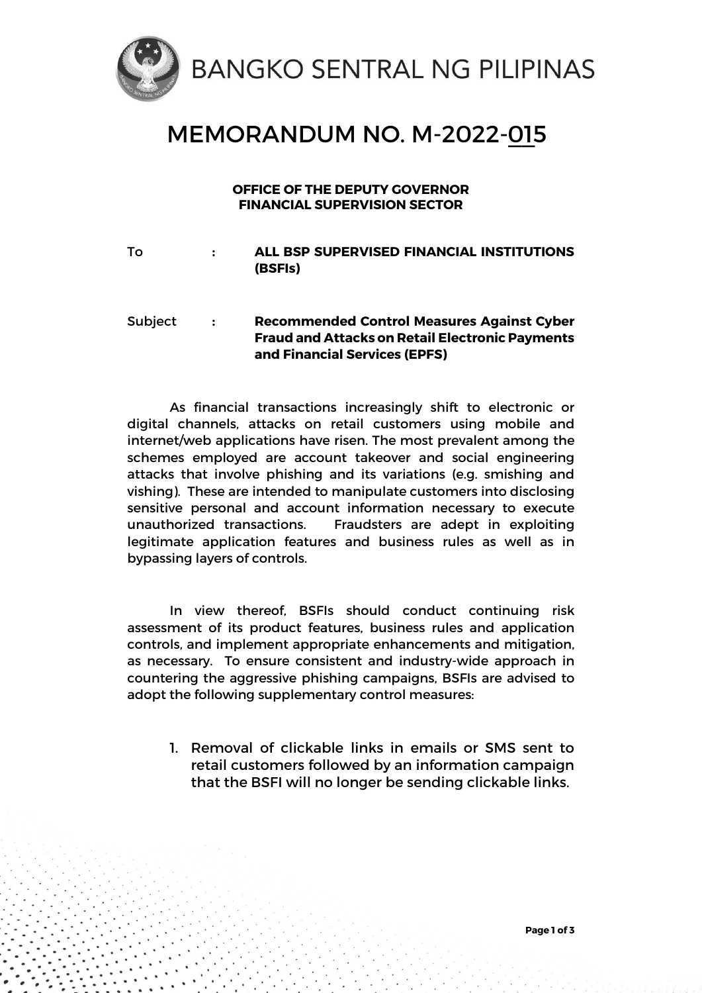

## MEMORANDUM NO. M-2022-<u>01</u>5

## **OFFICE OF THE DEPUTY GOVERNOR FINANCIAL SUPERVISION SECTOR**

To **: ALL BSP SUPERVISED FINANCIAL INSTITUTIONS (BSFIs)**

## Subject **: Recommended Control Measures Against Cyber Fraud and Attacks on Retail Electronic Payments and Financial Services (EPFS)**

As financial transactions increasingly shift to electronic or digital channels, attacks on retail customers using mobile and internet/web applications have risen. The most prevalent among the schemes employed are account takeover and social engineering attacks that involve phishing and its variations (e.g. smishing and vishing). These are intended to manipulate customers into disclosing sensitive personal and account information necessary to execute unauthorized transactions. Fraudsters are adept in exploiting legitimate application features and business rules as well as in bypassing layers of controls.

In view thereof, BSFIs should conduct continuing risk assessment of its product features, business rules and application controls, and implement appropriate enhancements and mitigation, as necessary. To ensure consistent and industry-wide approach in countering the aggressive phishing campaigns, BSFIs are advised to adopt the following supplementary control measures:

1. Removal of clickable links in emails or SMS sent to retail customers followed by an information campaign that the BSFI will no longer be sending clickable links.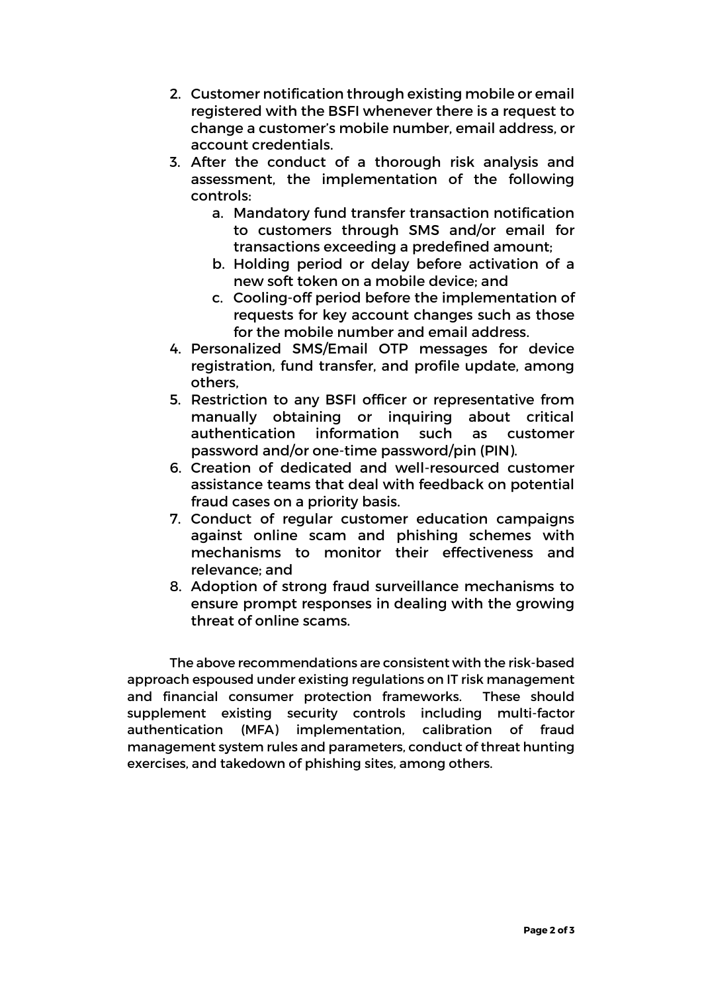- 2. Customer notification through existing mobile or email registered with the BSFI whenever there is a request to change a customer's mobile number, email address, or account credentials.
- 3. After the conduct of a thorough risk analysis and assessment, the implementation of the following controls:
	- a. Mandatory fund transfer transaction notification to customers through SMS and/or email for transactions exceeding a predefined amount;
	- b. Holding period or delay before activation of a new soft token on a mobile device; and
	- c. Cooling-off period before the implementation of requests for key account changes such as those for the mobile number and email address.
- 4. Personalized SMS/Email OTP messages for device registration, fund transfer, and profile update, among others,
- 5. Restriction to any BSFI officer or representative from manually obtaining or inquiring about critical authentication information such as customer password and/or one-time password/pin (PIN).
- 6. Creation of dedicated and well-resourced customer assistance teams that deal with feedback on potential fraud cases on a priority basis.
- 7. Conduct of regular customer education campaigns against online scam and phishing schemes with mechanisms to monitor their effectiveness and relevance; and
- 8. Adoption of strong fraud surveillance mechanisms to ensure prompt responses in dealing with the growing threat of online scams.

The above recommendations are consistent with the risk-based approach espoused under existing regulations on IT risk management and financial consumer protection frameworks. These should supplement existing security controls including multi-factor authentication (MFA) implementation, calibration of fraud management system rules and parameters, conduct of threat hunting exercises, and takedown of phishing sites, among others.